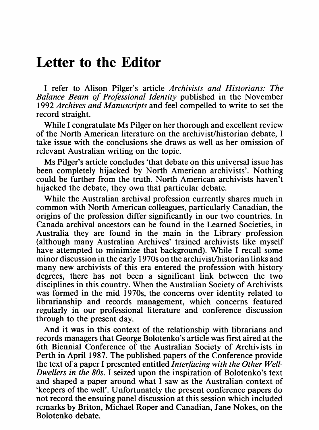## **Letter to the Editor**

<sup>I</sup> refer to Alison Pilger's article *Archivists and Historians: The Balance Beam of Professional Identity* published in the November 1992 *Archives and Manuscripts* and feel compelled to write to set the record straight.

While I congratulate Ms Pilger on her thorough and excellent review of the North American literature on the archivist/historian debate, <sup>I</sup> take issue with the conclusions she draws as well as her omission of relevant Australian writing on the topic.

Ms Pilger's article concludes 'that debate on this universal issue has been completely hijacked by North American archivists'. Nothing could be further from the truth. North American archivists haven't hijacked the debate, they own that particular debate.

While the Australian archival profession currently shares much in common with North American colleagues, particularly Canadian, the origins of the profession differ significantly in our two countries. In Canada archival ancestors can be found in the Learned Societies, in Australia they are found in the main in the Library profession (although many Australian Archives' trained archivists like myself have attempted to minimize that background). While <sup>I</sup> recall some minor discussion in the early 1970s on the archivist/historian links and many new archivists of this era entered the profession with history degrees, there has not been a significant link between the two disciplines in this country. When the Australian Society of Archivists was formed in the mid 1970s, the concerns over identity related to librarianship and records management, which concerns featured regularly in our professional literature and conference discussion through to the present day.

And it was in this context of the relationship with librarians and records managers that George Bolotenko's article was first aired at the 6th Biennial Conference of the Australian Society of Archivists in Perth in April 1987. The published papers of the Conference provide the text of a paper <sup>I</sup> presented entitled *Interfacing with the Other Well-Dwellers in the 80s.* <sup>I</sup> seized upon the inspiration of Bolotenko's text and shaped <sup>a</sup> paper around what <sup>I</sup> saw as the Australian context of 'keepers of the well'. Unfortunately the present conference papers do not record the ensuing panel discussion at this session which included remarks by Briton, Michael Roper and Canadian, Jane Nokes, on the Bolotenko debate.